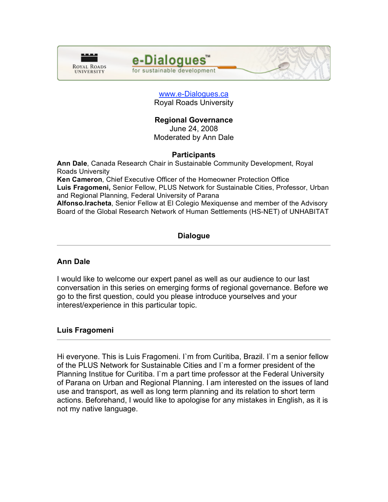



#### www.e-Dialogues.ca Royal Roads University

# **Regional Governance**

June 24, 2008 Moderated by Ann Dale

### **Participants**

**Ann Dale**, Canada Research Chair in Sustainable Community Development, Royal Roads University

**Ken Cameron**, Chief Executive Officer of the Homeowner Protection Office **Luis Fragomeni,** Senior Fellow, PLUS Network for Sustainable Cities, Professor, Urban and Regional Planning, Federal University of Parana

**Alfonso.Iracheta**, Senior Fellow at El Colegio Mexiquense and member of the Advisory Board of the Global Research Network of Human Settlements (HS-NET) of UNHABITAT

### **Dialogue**

### **Ann Dale**

I would like to welcome our expert panel as well as our audience to our last conversation in this series on emerging forms of regional governance. Before we go to the first question, could you please introduce yourselves and your interest/experience in this particular topic.

### **Luis Fragomeni**

Hi everyone. This is Luis Fragomeni. I`m from Curitiba, Brazil. I`m a senior fellow of the PLUS Network for Sustainable Cities and I`m a former president of the Planning Institue for Curitiba. I`m a part time professor at the Federal University of Parana on Urban and Regional Planning. I am interested on the issues of land use and transport, as well as long term planning and its relation to short term actions. Beforehand, I would like to apologise for any mistakes in English, as it is not my native language.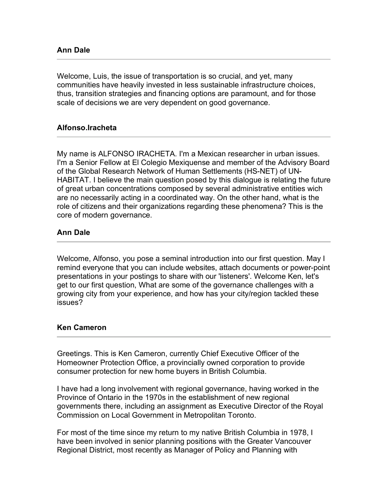Welcome, Luis, the issue of transportation is so crucial, and yet, many communities have heavily invested in less sustainable infrastructure choices, thus, transition strategies and financing options are paramount, and for those scale of decisions we are very dependent on good governance.

### **Alfonso.Iracheta**

My name is ALFONSO IRACHETA. I'm a Mexican researcher in urban issues. I'm a Senior Fellow at El Colegio Mexiquense and member of the Advisory Board of the Global Research Network of Human Settlements (HS-NET) of UN-HABITAT. I believe the main question posed by this dialogue is relating the future of great urban concentrations composed by several administrative entities wich are no necessarily acting in a coordinated way. On the other hand, what is the role of citizens and their organizations regarding these phenomena? This is the core of modern governance.

### **Ann Dale**

Welcome, Alfonso, you pose a seminal introduction into our first question. May I remind everyone that you can include websites, attach documents or power-point presentations in your postings to share with our 'listeners'. Welcome Ken, let's get to our first question, What are some of the governance challenges with a growing city from your experience, and how has your city/region tackled these issues?

### **Ken Cameron**

Greetings. This is Ken Cameron, currently Chief Executive Officer of the Homeowner Protection Office, a provincially owned corporation to provide consumer protection for new home buyers in British Columbia.

I have had a long involvement with regional governance, having worked in the Province of Ontario in the 1970s in the establishment of new regional governments there, including an assignment as Executive Director of the Royal Commission on Local Government in Metropolitan Toronto.

For most of the time since my return to my native British Columbia in 1978, I have been involved in senior planning positions with the Greater Vancouver Regional District, most recently as Manager of Policy and Planning with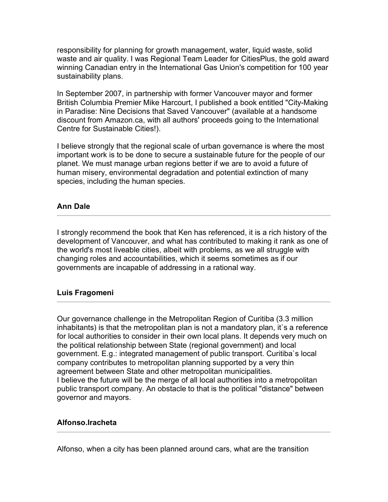responsibility for planning for growth management, water, liquid waste, solid waste and air quality. I was Regional Team Leader for CitiesPlus, the gold award winning Canadian entry in the International Gas Union's competition for 100 year sustainability plans.

In September 2007, in partnership with former Vancouver mayor and former British Columbia Premier Mike Harcourt, I published a book entitled "City-Making in Paradise: Nine Decisions that Saved Vancouver" (available at a handsome discount from Amazon.ca, with all authors' proceeds going to the International Centre for Sustainable Cities!).

I believe strongly that the regional scale of urban governance is where the most important work is to be done to secure a sustainable future for the people of our planet. We must manage urban regions better if we are to avoid a future of human misery, environmental degradation and potential extinction of many species, including the human species.

### **Ann Dale**

I strongly recommend the book that Ken has referenced, it is a rich history of the development of Vancouver, and what has contributed to making it rank as one of the world's most liveable cities, albeit with problems, as we all struggle with changing roles and accountabilities, which it seems sometimes as if our governments are incapable of addressing in a rational way.

# **Luis Fragomeni**

Our governance challenge in the Metropolitan Region of Curitiba (3.3 million inhabitants) is that the metropolitan plan is not a mandatory plan, it`s a reference for local authorities to consider in their own local plans. It depends very much on the political relationship between State (regional government) and local government. E.g.: integrated management of public transport. Curitiba`s local company contributes to metropolitan planning supported by a very thin agreement between State and other metropolitan municipalities. I believe the future will be the merge of all local authorities into a metropolitan public transport company. An obstacle to that is the political "distance" between governor and mayors.

### **Alfonso.Iracheta**

Alfonso, when a city has been planned around cars, what are the transition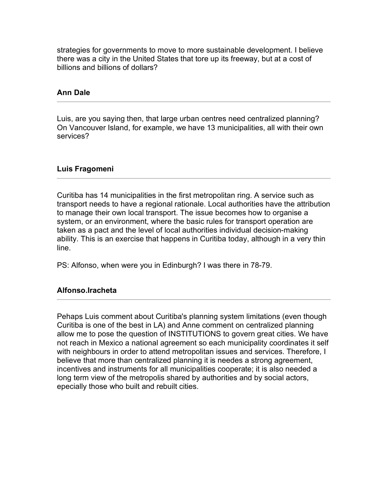strategies for governments to move to more sustainable development. I believe there was a city in the United States that tore up its freeway, but at a cost of billions and billions of dollars?

## **Ann Dale**

Luis, are you saying then, that large urban centres need centralized planning? On Vancouver Island, for example, we have 13 municipalities, all with their own services?

### **Luis Fragomeni**

Curitiba has 14 municipalities in the first metropolitan ring. A service such as transport needs to have a regional rationale. Local authorities have the attribution to manage their own local transport. The issue becomes how to organise a system, or an environment, where the basic rules for transport operation are taken as a pact and the level of local authorities individual decision-making ability. This is an exercise that happens in Curitiba today, although in a very thin line.

PS: Alfonso, when were you in Edinburgh? I was there in 78-79.

# **Alfonso.Iracheta**

Pehaps Luis comment about Curitiba's planning system limitations (even though Curitiba is one of the best in LA) and Anne comment on centralized planning allow me to pose the question of INSTITUTIONS to govern great cities. We have not reach in Mexico a national agreement so each municipality coordinates it self with neighbours in order to attend metropolitan issues and services. Therefore, I believe that more than centralized planning it is needes a strong agreement, incentives and instruments for all municipalities cooperate; it is also needed a long term view of the metropolis shared by authorities and by social actors, epecially those who built and rebuilt cities.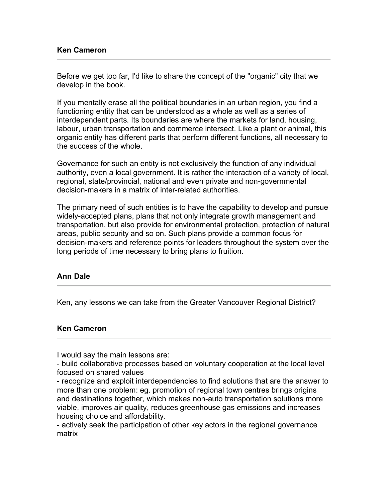Before we get too far, I'd like to share the concept of the "organic" city that we develop in the book.

If you mentally erase all the political boundaries in an urban region, you find a functioning entity that can be understood as a whole as well as a series of interdependent parts. Its boundaries are where the markets for land, housing, labour, urban transportation and commerce intersect. Like a plant or animal, this organic entity has different parts that perform different functions, all necessary to the success of the whole.

Governance for such an entity is not exclusively the function of any individual authority, even a local government. It is rather the interaction of a variety of local, regional, state/provincial, national and even private and non-governmental decision-makers in a matrix of inter-related authorities.

The primary need of such entities is to have the capability to develop and pursue widely-accepted plans, plans that not only integrate growth management and transportation, but also provide for environmental protection, protection of natural areas, public security and so on. Such plans provide a common focus for decision-makers and reference points for leaders throughout the system over the long periods of time necessary to bring plans to fruition.

### **Ann Dale**

Ken, any lessons we can take from the Greater Vancouver Regional District?

### **Ken Cameron**

I would say the main lessons are:

- build collaborative processes based on voluntary cooperation at the local level focused on shared values

- recognize and exploit interdependencies to find solutions that are the answer to more than one problem: eg. promotion of regional town centres brings origins and destinations together, which makes non-auto transportation solutions more viable, improves air quality, reduces greenhouse gas emissions and increases housing choice and affordability.

- actively seek the participation of other key actors in the regional governance matrix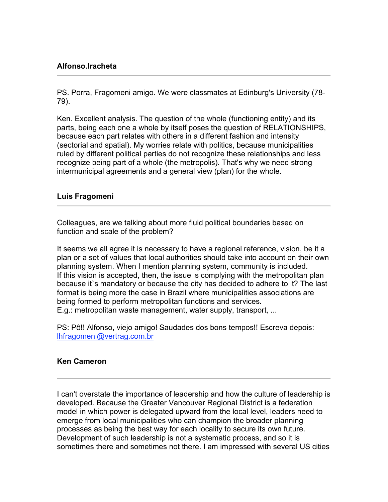## **Alfonso.Iracheta**

PS. Porra, Fragomeni amigo. We were classmates at Edinburg's University (78- 79).

Ken. Excellent analysis. The question of the whole (functioning entity) and its parts, being each one a whole by itself poses the question of RELATIONSHIPS, because each part relates with others in a different fashion and intensity (sectorial and spatial). My worries relate with politics, because municipalities ruled by different political parties do not recognize these relationships and less recognize being part of a whole (the metropolis). That's why we need strong intermunicipal agreements and a general view (plan) for the whole.

#### **Luis Fragomeni**

Colleagues, are we talking about more fluid political boundaries based on function and scale of the problem?

It seems we all agree it is necessary to have a regional reference, vision, be it a plan or a set of values that local authorities should take into account on their own planning system. When I mention planning system, community is included. If this vision is accepted, then, the issue is complying with the metropolitan plan because it`s mandatory or because the city has decided to adhere to it? The last format is being more the case in Brazil where municipalities associations are being formed to perform metropolitan functions and services. E.g.: metropolitan waste management, water supply, transport, ...

PS: Pô!! Alfonso, viejo amigo! Saudades dos bons tempos!! Escreva depois: lhfragomeni@vertrag.com.br

#### **Ken Cameron**

I can't overstate the importance of leadership and how the culture of leadership is developed. Because the Greater Vancouver Regional District is a federation model in which power is delegated upward from the local level, leaders need to emerge from local municipalities who can champion the broader planning processes as being the best way for each locality to secure its own future. Development of such leadership is not a systematic process, and so it is sometimes there and sometimes not there. I am impressed with several US cities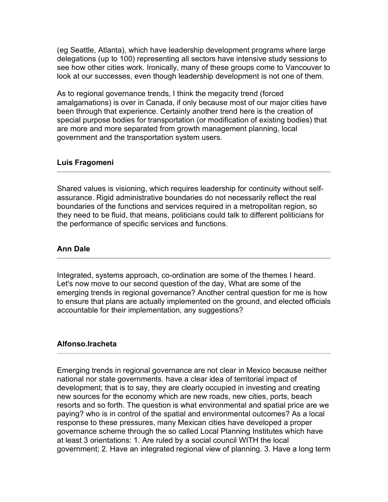(eg Seattle, Atlanta), which have leadership development programs where large delegations (up to 100) representing all sectors have intensive study sessions to see how other cities work. Ironically, many of these groups come to Vancouver to look at our successes, even though leadership development is not one of them.

As to regional governance trends, I think the megacity trend (forced amalgamations) is over in Canada, if only because most of our major cities have been through that experience. Certainly another trend here is the creation of special purpose bodies for transportation (or modification of existing bodies) that are more and more separated from growth management planning, local government and the transportation system users.

#### **Luis Fragomeni**

Shared values is visioning, which requires leadership for continuity without selfassurance. Rigid administrative boundaries do not necessarily reflect the real boundaries of the functions and services required in a metropolitan region, so they need to be fluid, that means, politicians could talk to different politicians for the performance of specific services and functions.

#### **Ann Dale**

Integrated, systems approach, co-ordination are some of the themes I heard. Let's now move to our second question of the day, What are some of the emerging trends in regional governance? Another central question for me is how to ensure that plans are actually implemented on the ground, and elected officials accountable for their implementation, any suggestions?

### **Alfonso.Iracheta**

Emerging trends in regional governance are not clear in Mexico because neither national nor state governments. have a clear idea of territorial impact of development; that is to say, they are clearly occupied in investing and creating new sources for the economy which are new roads, new cities, ports, beach resorts and so forth. The question is what environmental and spatial price are we paying? who is in control of the spatial and environmental outcomes? As a local response to these pressures, many Mexican cities have developed a proper governance scheme through the so called Local Planning Institutes which have at least 3 orientations: 1. Are ruled by a social council WITH the local government; 2. Have an integrated regional view of planning. 3. Have a long term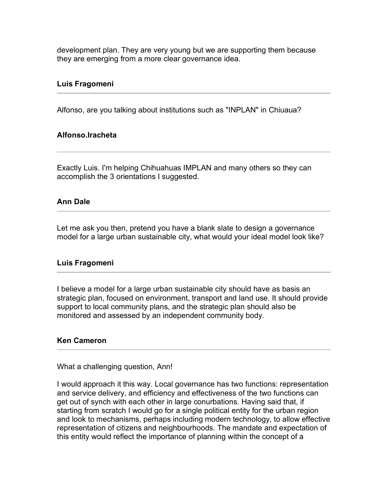development plan. They are very young but we are supporting them because they are emerging from a more clear governance idea.

#### **Luis Fragomeni**

Alfonso, are you talking about institutions such as "INPLAN" in Chiuaua?

### **Alfonso.Iracheta**

Exactly Luis. I'm helping Chihuahuas IMPLAN and many others so they can accomplish the 3 orientations I suggested.

#### **Ann Dale**

Let me ask you then, pretend you have a blank slate to design a governance model for a large urban sustainable city, what would your ideal model look like?

#### **Luis Fragomeni**

I believe a model for a large urban sustainable city should have as basis an strategic plan, focused on environment, transport and land use. It should provide support to local community plans, and the strategic plan should also be monitored and assessed by an independent community body.

#### **Ken Cameron**

What a challenging question, Ann!

I would approach it this way. Local governance has two functions: representation and service delivery, and efficiency and effectiveness of the two functions can get out of synch with each other in large conurbations. Having said that, if starting from scratch I would go for a single political entity for the urban region and look to mechanisms, perhaps including modern technology, to allow effective representation of citizens and neighbourhoods. The mandate and expectation of this entity would reflect the importance of planning within the concept of a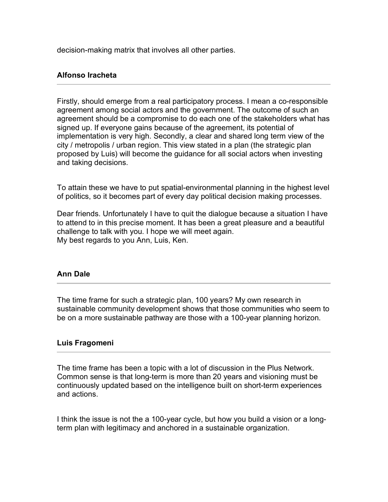decision-making matrix that involves all other parties.

## **Alfonso Iracheta**

Firstly, should emerge from a real participatory process. I mean a co-responsible agreement among social actors and the government. The outcome of such an agreement should be a compromise to do each one of the stakeholders what has signed up. If everyone gains because of the agreement, its potential of implementation is very high. Secondly, a clear and shared long term view of the city / metropolis / urban region. This view stated in a plan (the strategic plan proposed by Luis) will become the guidance for all social actors when investing and taking decisions.

To attain these we have to put spatial-environmental planning in the highest level of politics, so it becomes part of every day political decision making processes.

Dear friends. Unfortunately I have to quit the dialogue because a situation I have to attend to in this precise moment. It has been a great pleasure and a beautiful challenge to talk with you. I hope we will meet again. My best regards to you Ann, Luis, Ken.

### **Ann Dale**

The time frame for such a strategic plan, 100 years? My own research in sustainable community development shows that those communities who seem to be on a more sustainable pathway are those with a 100-year planning horizon.

#### **Luis Fragomeni**

The time frame has been a topic with a lot of discussion in the Plus Network. Common sense is that long-term is more than 20 years and visioning must be continuously updated based on the intelligence built on short-term experiences and actions.

I think the issue is not the a 100-year cycle, but how you build a vision or a longterm plan with legitimacy and anchored in a sustainable organization.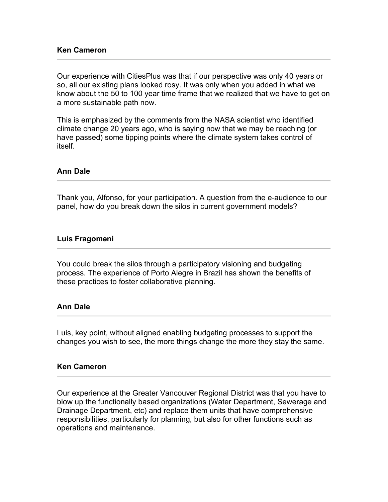#### **Ken Cameron**

Our experience with CitiesPlus was that if our perspective was only 40 years or so, all our existing plans looked rosy. It was only when you added in what we know about the 50 to 100 year time frame that we realized that we have to get on a more sustainable path now.

This is emphasized by the comments from the NASA scientist who identified climate change 20 years ago, who is saying now that we may be reaching (or have passed) some tipping points where the climate system takes control of itself.

#### **Ann Dale**

Thank you, Alfonso, for your participation. A question from the e-audience to our panel, how do you break down the silos in current government models?

#### **Luis Fragomeni**

You could break the silos through a participatory visioning and budgeting process. The experience of Porto Alegre in Brazil has shown the benefits of these practices to foster collaborative planning.

#### **Ann Dale**

Luis, key point, without aligned enabling budgeting processes to support the changes you wish to see, the more things change the more they stay the same.

#### **Ken Cameron**

Our experience at the Greater Vancouver Regional District was that you have to blow up the functionally based organizations (Water Department, Sewerage and Drainage Department, etc) and replace them units that have comprehensive responsibilities, particularly for planning, but also for other functions such as operations and maintenance.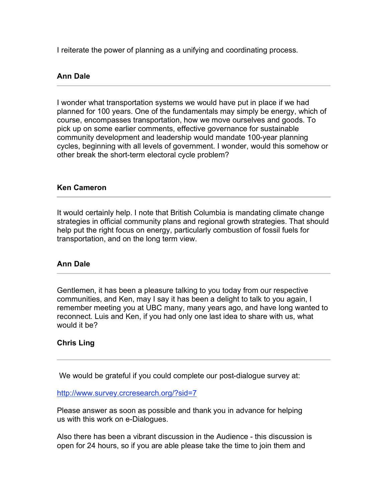I reiterate the power of planning as a unifying and coordinating process.

## **Ann Dale**

I wonder what transportation systems we would have put in place if we had planned for 100 years. One of the fundamentals may simply be energy, which of course, encompasses transportation, how we move ourselves and goods. To pick up on some earlier comments, effective governance for sustainable community development and leadership would mandate 100-year planning cycles, beginning with all levels of government. I wonder, would this somehow or other break the short-term electoral cycle problem?

## **Ken Cameron**

It would certainly help. I note that British Columbia is mandating climate change strategies in official community plans and regional growth strategies. That should help put the right focus on energy, particularly combustion of fossil fuels for transportation, and on the long term view.

### **Ann Dale**

Gentlemen, it has been a pleasure talking to you today from our respective communities, and Ken, may I say it has been a delight to talk to you again, I remember meeting you at UBC many, many years ago, and have long wanted to reconnect. Luis and Ken, if you had only one last idea to share with us, what would it be?

### **Chris Ling**

We would be grateful if you could complete our post-dialogue survey at:

#### http://www.survey.crcresearch.org/?sid=7

Please answer as soon as possible and thank you in advance for helping us with this work on e-Dialogues.

Also there has been a vibrant discussion in the Audience - this discussion is open for 24 hours, so if you are able please take the time to join them and